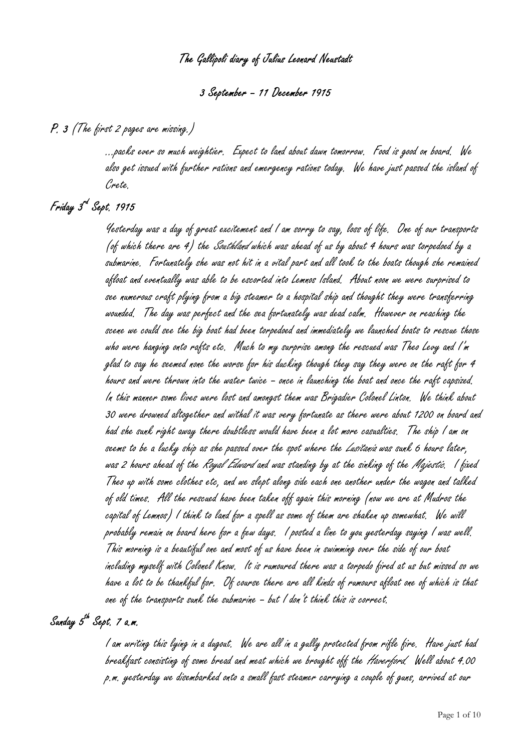# The Gallipoli diary of Julius Leonard Neustadt

#### 3 September – 11 December 1915

#### P. 3 (The first 2 pages are missing.)

 …packs ever so much weightier. Expect to land about dawn tomorrow. Food is good on board. We also get issued with further rations and emergency rations today. We have just passed the island of Crete.

## Friday 3<sup>rd</sup> Sept. 1915

 Yesterday was a day of great excitement and I am sorry to say, loss of life. One of our transports (of which there are 4) the *Southland* which was ahead of us by about 4 hours was torpedoed by a submarine. Fortunately she was not hit in a vital part and all took to the boats though she remained afloat and eventually was able to be escorted into Lemnos Island. About noon we were surprised to see numerous craft plying from a big steamer to a hospital ship and thought they were transferring wounded. The day was perfect and the sea fortunately was dead calm. However on reaching the scene we could see the big boat had been torpedoed and immediately we launched boats to rescue those who were hanging onto rafts etc. Much to my surprise among the rescued was Theo Levy and I'm glad to say he seemed none the worse for his ducking though they say they were on the raft for 4 hours and were thrown into the water twice – once in launching the boat and once the raft capsized. In this manner some lives were lost and amongst them was Brigadier Colonel Linton. We think about 30 were drowned altogether and withal it was very fortunate as there were about 1200 on board and had she sunk right away there doubtless would have been a lot more casualties. The ship I am on seems to be a lucky ship as she passed over the spot where the *Lusitania* was sunk 6 hours later, was 2 hours ahead of the *Royal Edward* and was standing by at the sinking of the *Majestic.* I fixed Theo up with some clothes etc, and we slept along side each one another under the wagon and talked of old times. All the rescued have been taken off again this morning (now we are at Mudros the capital of Lemnos) I think to land for a spell as some of them are shaken up somewhat. We will probably remain on board here for a few days. I posted a line to you yesterday saying I was well. This morning is a beautiful one and most of us have been in swimming over the side of our boat including myself with Colonel Know. It is rumoured there was a torpedo fired at us but missed so we have a lot to be thankful for. Of course there are all kinds of rumours afloat one of which is that one of the transports sunk the submarine – but I don't think this is correct.

# Sanday 5<sup>th</sup> Sept. 7 a.m.

 I am writing this lying in a dugout. We are all in a gully protected from rifle fire. Have just had breakfast consisting of some bread and meat which we brought off the Haverford. Well about 4.00 p.m. yesterday we disembarked onto a small fast steamer carrying a couple of guns, arrived at our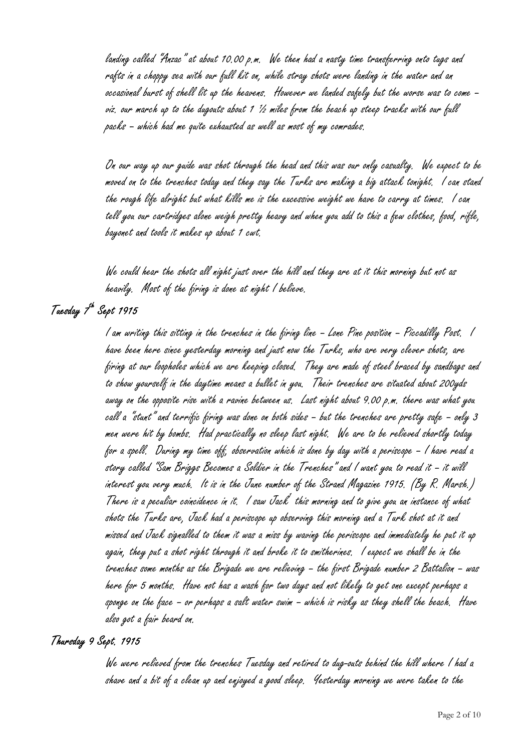landing called "Anzac" at about 10.00 p.m. We then had a nasty time transferring onto tugs and rafts in a choppy sea with our full kit on, while stray shots were landing in the water and an occasional burst of shell lit up the heavens. However we landed safely but the worse was to come – viz. our march up to the dugouts about 1 1/2 miles from the beach up steep tracks with our full packs – which had me quite exhausted as well as most of my comrades.

On our way up our guide was shot through the head and this was our only casualty. We expect to be moved on to the trenches today and they say the Turks are making a big attack tonight. I can stand the rough life alright but what kills me is the excessive weight we have to carry at times. I can tell you our cartridges alone weigh pretty heavy and when you add to this a few clothes, food, rifle, bayonet and tools it makes up about 1 cwt.

We could hear the shots all night just over the hill and they are at it this morning but not as heavily. Most of the firing is done at night I believe.

## Tuesday T<sup>h</sup> Sept 1915

 I am writing this sitting in the trenches in the firing line – Lone Pine position – Piccadilly Post. I have been here since yesterday morning and just now the Turks, who are very clever shots, are firing at our loopholes which we are keeping closed. They are made of steel braced by sandbags and to show yourself in the daytime means a bullet in you. Their trenches are situated about 200yds away on the opposite rise with a ravine between us. Last night about 9.00 p.m. there was what you call a "stunt" and terrific firing was done on both sides – but the trenches are pretty safe – only 3 men were hit by bombs. Had practically no sleep last night. We are to be relieved shortly today for a spell. During my time off, observation which is done by day with a periscope – I have read a story called "Sam Briggs Becomes a Soldier in the Trenches" and I want you to read it – it will interest you very much. It is in the June number of the Strand Magazine 1915. (By R. Marsh.) There is a peculiar coincidence in it. I saw Jack this morning and to give you an instance of what shots the Turks are, Jack had a periscope up observing this morning and a Turk shot at it and missed and Jack signalled to them it was a miss by waving the periscope and immediately he put it up again, they put a shot right through it and broke it to smitherines. I expect we shall be in the trenches some months as the Brigade we are relieving – the first Brigade number 2 Battalion – was here for 5 months. Have not has a wash for two days and not likely to get one except perhaps a sponge on the face – or perhaps a salt water swim – which is risky as they shell the beach. Have also got a fair beard on.

#### Thursday 9 Sept. 1915

 We were relieved from the trenches Tuesday and retired to dug-outs behind the hill where I had a shave and a bit of a clean up and enjoyed a good sleep. Yesterday morning we were taken to the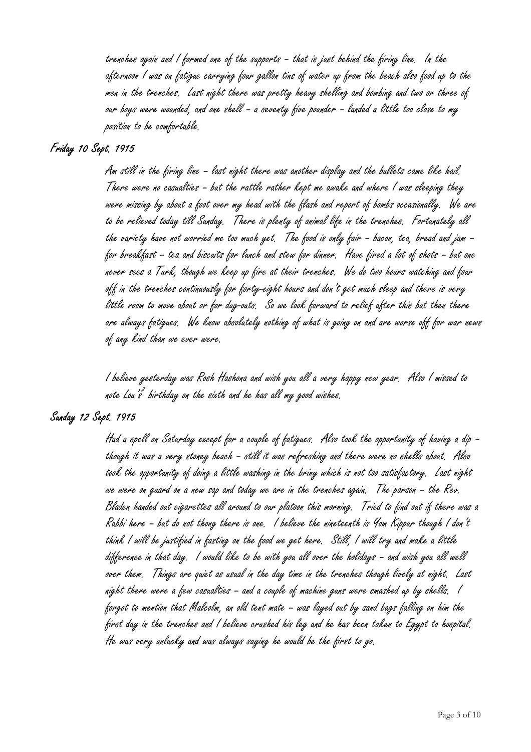trenches again and I formed one of the supports – that is just behind the firing line. In the afternoon I was on fatigue carrying four gallon tins of water up from the beach also food up to the men in the trenches. Last night there was pretty heavy shelling and bombing and two or three of our boys were wounded, and one shell – a seventy five pounder – landed a little too close to my position to be comfortable.

## Friday 10 Sept. 1915

 Am still in the firing line – last night there was another display and the bullets came like hail. There were no casualties – but the rattle rather kept me awake and where I was sleeping they were missing by about a foot over my head with the flash and report of bombs occasionally. We are to be relieved today till Sunday. There is plenty of animal life in the trenches. Fortunately all the variety have not worried me too much yet. The food is only fair – bacon, tea, bread and jam – for breakfast – tea and biscuits for lunch and stew for dinner. Have fired a lot of shots – but one never sees a Turk, though we keep up fire at their trenches. We do two hours watching and four off in the trenches continuously for forty-eight hours and don't get much sleep and there is very little room to move about or for dug-outs. So we look forward to relief after this but then there are always fatigues. We know absolutely nothing of what is going on and are worse off for war news of any kind than we ever were.

I believe yesterday was Rosh Hashona and wish you all a very happy new year. Also I missed to note Lou's birthday on the sixth and he has all my good wishes.

#### Sunday 12 Sept. 1915

 Had a spell on Saturday except for a couple of fatigues. Also took the opportunity of having a dip – though it was a very stoney beach – still it was refreshing and there were no shells about. Also took the opportunity of doing a little washing in the briny which is not too satisfactory. Last night we were on guard on a new sap and today we are in the trenches again. The parson – the Rev. Bladen handed out cigarettes all around to our platoon this morning. Tried to find out if there was a Rabbi here – but do not thong there is one. I believe the nineteenth is Yom Kippur though I don't think I will be justified in fasting on the food we get here. Still, I will try and make a little difference in that day. I would like to be with you all over the holidays – and wish you all well over them. Things are quiet as usual in the day time in the trenches though lively at night. Last night there were a few casualties – and a couple of machine guns were smashed up by shells. I forgot to mention that Malcolm, an old tent mate – was layed out by sand bags falling on him the first day in the trenches and I believe crushed his leg and he has been taken to Egypt to hospital. He was very unlucky and was always saying he would be the first to go.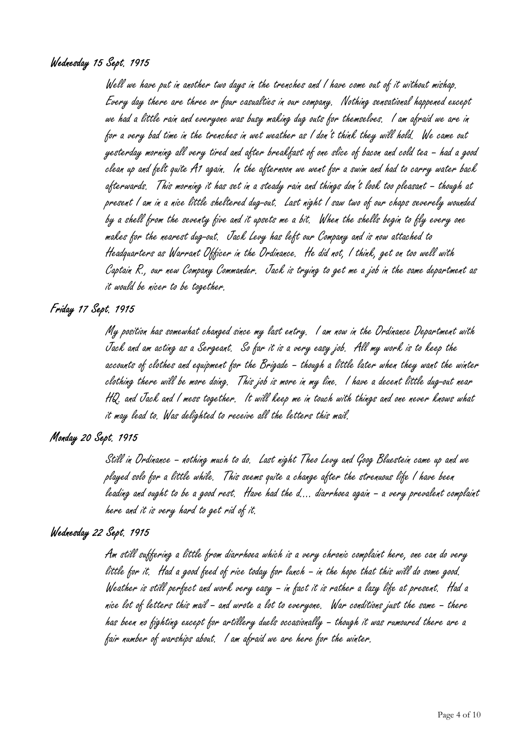### Wednesday 15 Sept. 1915

Well we have put in another two days in the trenches and I have come out of it without mishap. Every day there are three or four casualties in our company. Nothing sensational happened except we had a little rain and everyone was busy making dug outs for themselves. I am afraid we are in for a very bad time in the trenches in wet weather as I don't think they will hold. We came out yesterday morning all very tired and after breakfast of one slice of bacon and cold tea – had a good clean up and felt quite A1 again. In the afternoon we went for a swim and had to carry water back afterwards. This morning it has set in a steady rain and things don't look too pleasant – though at present I am in a nice little sheltered dug-out. Last night I saw two of our chaps severely wounded by a shell from the seventy five and it upsets me a bit. When the shells begin to fly every one makes for the nearest dug-out. Jack Levy has left our Company and is now attached to Headquarters as Warrant Officer in the Ordinance. He did not, I think, get on too well with Captain R., our new Company Commander. Jack is trying to get me a job in the same department as it would be nicer to be together.

### Friday 17 Sept. 1915

 My position has somewhat changed since my last entry. I am now in the Ordinance Department with Jack and am acting as a Sergeant. So far it is a very easy job. All my work is to keep the accounts of clothes and equipment for the Brigade – though a little later when they want the winter clothing there will be more doing. This job is more in my line. I have a decent little dug-out near HQ. and Jack and I mess together. It will keep me in touch with things and one never knows what it may lead to. Was delighted to receive all the letters this mail.

## Monday 20 Sept. 1915

 Still in Ordinance – nothing much to do. Last night Theo Levy and Goog Bluestein came up and we played solo for a little while. This seems quite a change after the strenuous life I have been leading and ought to be a good rest. Have had the d…. diarrhoea again – a very prevalent complaint here and it is very hard to get rid of it.

#### Wednesday 22 Sept. 1915

 Am still suffering a little from diarrhoea which is a very chronic complaint here, one can do very little for it. Had a good feed of rice today for lunch – in the hope that this will do some good. Weather is still perfect and work very easy – in fact it is rather a lazy life at present. Had a nice lot of letters this mail – and wrote a lot to everyone. War conditions just the same – there has been no fighting except for artillery duels occasionally – though it was rumoured there are a fair number of warships about. I am afraid we are here for the winter.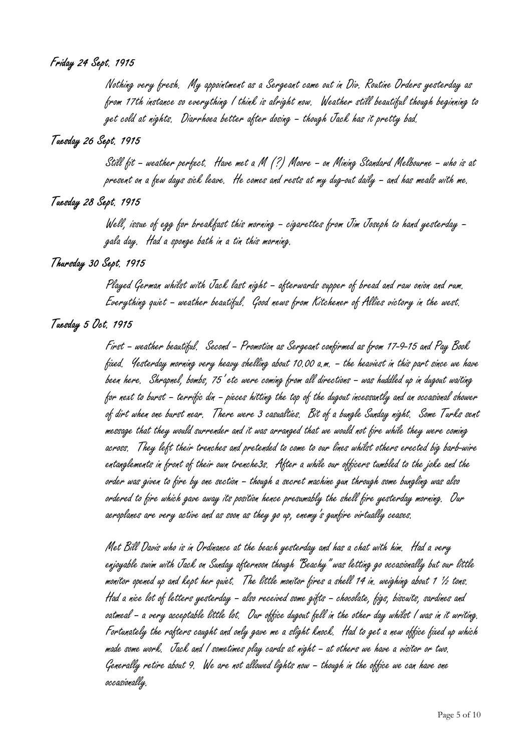## Friday 24 Sept. 1915

 Nothing very fresh. My appointment as a Sergeant came out in Div. Routine Orders yesterday as from 17th instance so everything I think is alright now. Weather still beautiful though beginning to get cold at nights. Diarrhoea better after dosing – though Jack has it pretty bad.

## Tuesday 26 Sept. 1915

 Still fit – weather perfect. Have met a M (?) Moore – on Mining Standard Melbourne – who is at present on a few days sick leave. He comes and rests at my dug-out daily – and has meals with me.

## Tuesday 28 Sept. 1915

 Well, issue of egg for breakfast this morning – cigarettes from Jim Joseph to hand yesterday – gala day. Had a sponge bath in a tin this morning.

## Thursday 30 Sept. 1915

 Played German whilst with Jack last night – afterwards supper of bread and raw onion and rum. Everything quiet – weather beautiful. Good news from Kitchener of Allies victory in the west.

### Tuesday 5 Oct. 1915

 First – weather beautiful. Second – Promotion as Sergeant confirmed as from 17-9-15 and Pay Book fixed. Yesterday morning very heavy shelling about 10.00 a.m. – the heaviest in this part since we have been here. Shrapnel, bombs, 75' etc were coming from all directions – was huddled up in dugout waiting for next to burst – terrific din – pieces hitting the top of the dugout incessantly and an occasional shower of dirt when one burst near. There were 3 casualties. Bit of a bungle Sunday night. Some Turks sent message that they would surrender and it was arranged that we would not fire while they were coming across. They left their trenches and pretended to come to our lines whilst others erected big barb-wire entanglements in front of their own trenche3s. After a while our officers tumbled to the joke and the order was given to fire by one section – though a secret machine gun through some bungling was also ordered to fire which gave away its position hence presumably the shell fire yesterday morning. Our aeroplanes are very active and as soon as they go up, enemy's gunfire virtually ceases.

Met Bill Davis who is in Ordinance at the beach yesterday and has a chat with him. Had a very enjoyable swim with Jack on Sunday afternoon though "Beachy" was letting go occasionally but our little monitor opened up and kept her quiet. The little monitor fires a shell 14 in. weighing about 1 ½ tons. Had a nice lot of letters yesterday – also received some gifts – chocolate, figs, biscuits, sardines and oatmeal – a very acceptable little lot. Our office dugout fell in the other day whilst I was in it writing. Fortunately the rafters caught and only gave me a slight knock. Had to get a new office fixed up which made some work. Jack and I sometimes play cards at night – at others we have a visitor or two. Generally retire about 9. We are not allowed lights now – though in the office we can have one occasionally.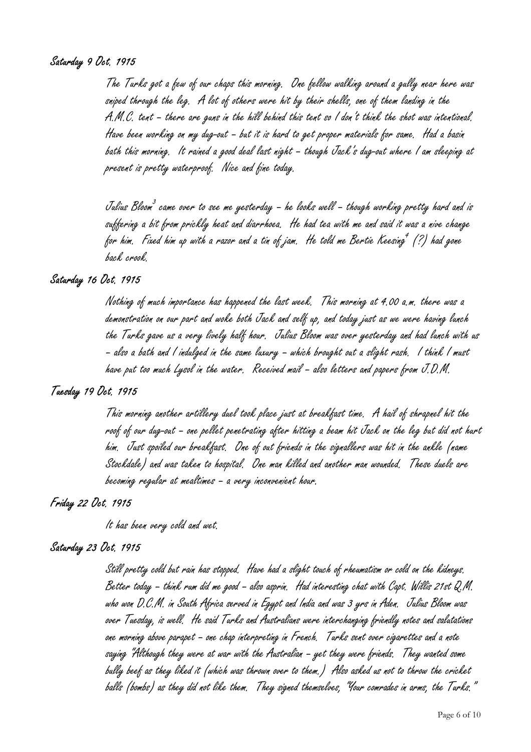## Saturday 9 Oct. 1915

 The Turks got a few of our chaps this morning. One fellow walking around a gully near here was sniped through the leg. A lot of others were hit by their shells, one of them landing in the A.M.C. tent – there are guns in the hill behind this tent so I don't think the shot was intentional. Have been working on my dug-out – but it is hard to get proper materials for same. Had a basin bath this morning. It rained a good deal last night – though Jack's dug-out where I am sleeping at present is pretty waterproof. Nice and fine today.

Julius Bloom $^3$  came over to see me yesterday – he looks well – though working pretty hard and is suffering a bit from prickly heat and diarrhoea. He had tea with me and said it was a nive change for him. Fixed him up with a razor and a tin of jam. He told me Bertie Keesing  $^{\prime}$  (?) had gone back crook.

## Saturday 16 Oct. 1915

 Nothing of much importance has happened the last week. This morning at 4.00 a.m. there was a demonstration on our part and woke both Jack and self up, and today just as we were having lunch the Turks gave us a very lively half hour. Julius Bloom was over yesterday and had lunch with us – also a bath and I indulged in the same luxury – which brought out a slight rash. I think I must have put too much Lysol in the water. Received mail – also letters and papers from J.D.M.

#### Tuesday 19 Oct. 1915

 This morning another artillery duel took place just at breakfast time. A hail of shrapnel hit the roof of our dug-out – one pellet penetrating after hitting a beam hit Jack on the leg but did not hurt him. Just spoiled our breakfast. One of out friends in the signallers was hit in the ankle (name Stockdale) and was taken to hospital. One man killed and another man wounded. These duels are becoming regular at mealtimes – a very inconvenient hour.

## Friday 22 Oct. 1915

It has been very cold and wet.

#### Saturday 23 Oct. 1915

 Still pretty cold but rain has stopped. Have had a slight touch of rheumatism or cold on the kidneys. Better today – think rum did me good – also asprin. Had interesting chat with Capt. Willis 21st Q.M. who won D.C.M. in South Africa served in Egypt and India and was 3 yrs in Aden. Julius Bloom was over Tuesday, is well. He said Turks and Australians were interchanging friendly notes and salutations one morning above parapet – one chap interpreting in French. Turks sent over cigarettes and a note saying "Although they were at war with the Australian – yet they were friends. They wanted some bully beef as they liked it (which was thrown over to them.) Also asked us not to throw the cricket balls (bombs) as they did not like them. They signed themselves, "Your comrades in arms, the Turks."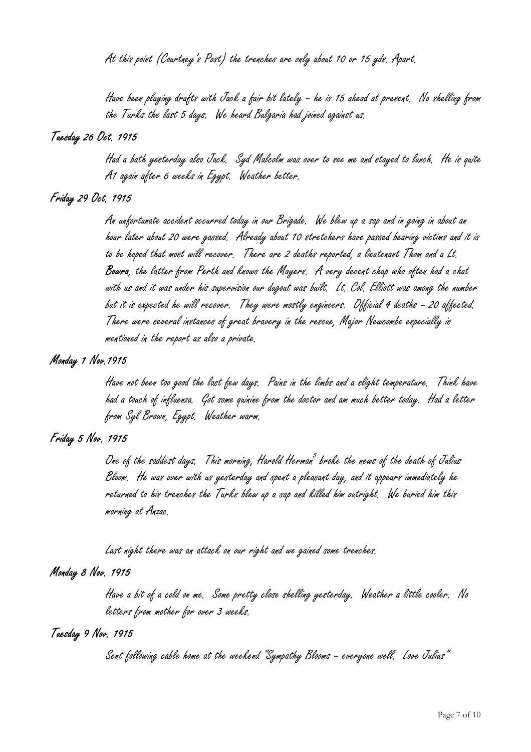At this point (Courtney's Post) the trenches are only about 10 or 15 yds. Apart.

Have been playing drafts with Jack a fair bit lately – he is 15 ahead at present. No shelling from the Turks the last 5 days. We heard Bulgaria had joined against us.

#### Tuesday 26 Oct. 1915

 Had a bath yesterday also Jack. Syd Malcolm was over to see me and stayed to lunch. He is quite A1 again after 6 weeks in Egypt. Weather better.

#### Friday 29 Oct. 1915

 An unfortunate accident occurred today in our Brigade. We blew up a sap and in going in about an hour later about 20 were gassed. Already about 10 stretchers have passed bearing victims and it is to be hoped that most will recover. There are 2 deaths reported, a lieutenant Thom and a Lt. Bowra, the latter from Perth and knows the Mayers. A very decent chap who often had a chat with us and it was under his supervision our dugout was built. Lt. Col. Elliott was among the number but it is expected he will recover. They were mostly engineers. Official 4 deaths – 20 affected. There were several instances of great bravery in the rescue, Major Newcombe especially is mentioned in the report as also a private.

#### Monday 1 Nov.1915

 Have not been too good the last few days. Pains in the limbs and a slight temperature. Think have had a touch of influenza. Got some quinine from the doctor and am much better today. Had a letter from Syl Brown, Egypt. Weather warm.

#### Friday 5 Nov. 1915

One of the saddest days,  $\,$  This morning, Harold Herman $^5$  broke the news of the death of Jalius Bloom. He was over with us yesterday and spent a pleasant day, and it appears immediately he returned to his trenches the Turks blew up a sap and killed him outright. We buried him this morning at Anzac.

Last night there was an attack on our right and we gained some trenches.

#### Monday 8 Nov. 1915

 Have a bit of a cold on me. Some pretty close shelling yesterday. Weather a little cooler. No letters from mother for over 3 weeks.

#### Tuesday 9 Nov. 1915

Sent following cable home at the weekend "Sympathy Blooms – everyone well. Love Julius"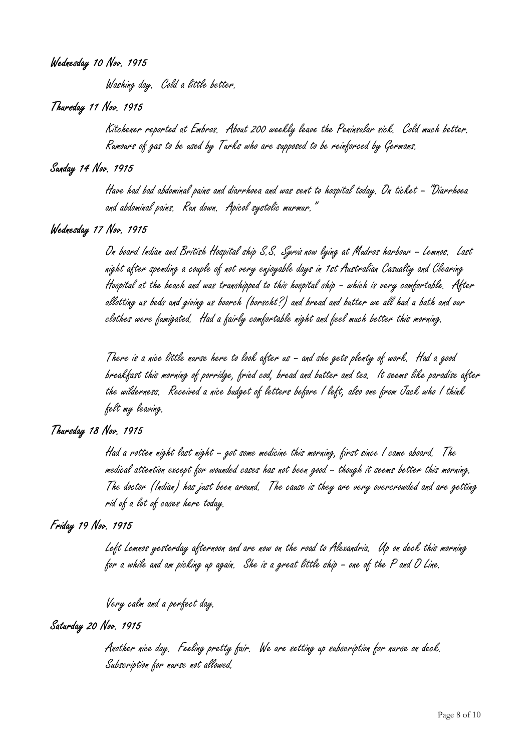#### Wednesday 10 Nov. 1915

Washing day. Cold a little better.

#### Thursday 11 Nov. 1915

 Kitchener reported at Embros. About 200 weekly leave the Peninsular sick. Cold much better. Rumours of gas to be used by Turks who are supposed to be reinforced by Germans.

#### Sunday 14 Nov. 1915

 Have had bad abdominal pains and diarrhoea and was sent to hospital today. On ticket – "Diarrhoea and abdominal pains. Run down. Apicol systolic murmur."

#### Wednesday 17 Nov. 1915

 On board Indian and British Hospital ship S.S. Syria now lying at Mudros harbour – Lemnos. Last night after spending a couple of not very enjoyable days in 1st Australian Casualty and Clearing Hospital at the beach and was transhipped to this hospital ship – which is very comfortable. After allotting us beds and giving us boorch (borscht?) and bread and butter we all had a bath and our clothes were fumigated. Had a fairly comfortable night and feel much better this morning.

There is a nice little nurse here to look after us – and she gets plenty of work. Had a good breakfast this morning of porridge, fried cod, bread and butter and tea. It seems like paradise after the wilderness. Received a nice budget of letters before I left, also one from Jack who I think felt my leaving.

#### Thursday 18 Nov. 1915

 Had a rotten night last night – got some medicine this morning, first since I came aboard. The medical attention except for wounded cases has not been good – though it seems better this morning. The doctor (Indian) has just been around. The cause is they are very overcrowded and are getting rid of a lot of cases here today.

#### Friday 19 Nov. 1915

 Left Lemnos yesterday afternoon and are now on the road to Alexandria. Up on deck this morning for a while and am picking up again. She is a great little ship – one of the P and O Line.

Very calm and a perfect day.

## Saturday 20 Nov. 1915

 Another nice day. Feeling pretty fair. We are setting up subscription for nurse on deck. Subscription for nurse not allowed.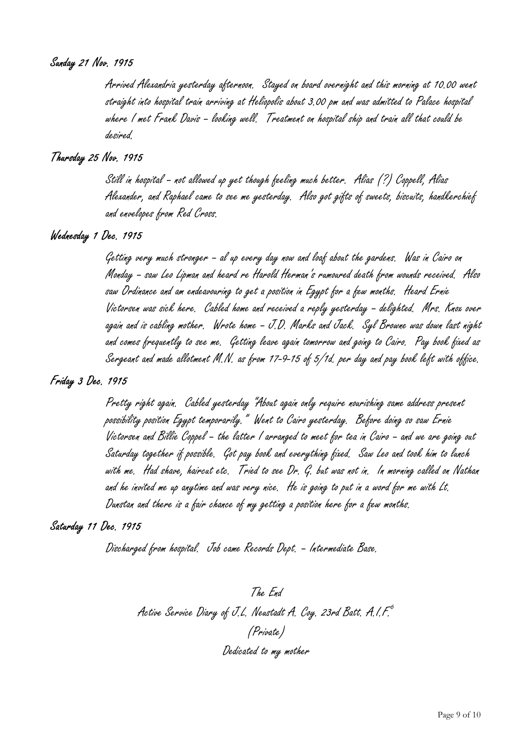#### Sunday 21 Nov. 1915

 Arrived Alexandria yesterday afternoon. Stayed on board overnight and this morning at 10.00 went straight into hospital train arriving at Heliopolis about 3.00 pm and was admitted to Palace hospital where I met Frank Davis – looking well. Treatment on hospital ship and train all that could be desired.

#### Thursday 25 Nov. 1915

 Still in hospital – not allowed up yet though feeling much better. Alias (?) Coppell, Alias Alexander, and Raphael came to see me yesterday. Also got gifts of sweets, biscuits, handkerchief and envelopes from Red Cross.

## Wednesday 1 Dec. 1915

 Getting very much stronger – al up every day now and loaf about the gardens. Was in Cairo on Monday – saw Leo Lipman and heard re Harold Herman's rumoured death from wounds received. Also saw Ordinance and am endeavouring to get a position in Egypt for a few months. Heard Ernie Victorsen was sick here. Cabled home and received a reply yesterday – delighted. Mrs. Knox over again and is cabling mother. Wrote home – J.D. Marks and Jack. Syl Browne was down last night and comes frequently to see me. Getting leave again tomorrow and going to Cairo. Pay book fixed as Sergeant and made allotment M.N. as from 17-9-15 of 5/1d. per day and pay book left with office.

### Friday 3 Dec. 1915

 Pretty right again. Cabled yesterday "About again only require nourishing same address present possibility position Egypt temporarily." Went to Cairo yesterday. Before doing so saw Ernie Victorsen and Billie Coppel – the latter I arranged to meet for tea in Cairo – and we are going out Saturday together if possible. Got pay book and everything fixed. Saw Leo and took him to lunch with me. Had shave, haircut etc. Tried to see Dr. G. but was not in. In morning called on Nathan and he invited me up anytime and was very nice. He is going to put in a word for me with Lt. Dunstan and there is a fair chance of my getting a position here for a few months.

#### Saturday 11 Dec. 1915

Discharged from hospital. Job came Records Dept. – Intermediate Base.

The End Active Service Diary of J.L. Neustadt A. Coy. 23rd Batt. A.I.F. (Private) Dedicated to my mother